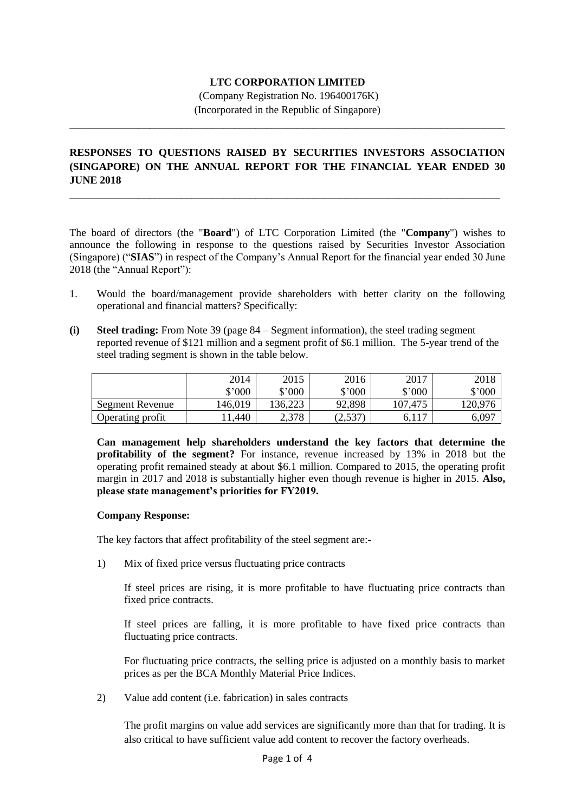# **LTC CORPORATION LIMITED**

(Company Registration No. 196400176K) (Incorporated in the Republic of Singapore)

\_\_\_\_\_\_\_\_\_\_\_\_\_\_\_\_\_\_\_\_\_\_\_\_\_\_\_\_\_\_\_\_\_\_\_\_\_\_\_\_\_\_\_\_\_\_\_\_\_\_\_\_\_\_\_\_\_\_\_\_\_\_\_\_\_\_\_\_\_\_\_\_\_\_\_\_\_\_\_\_\_\_

# **RESPONSES TO QUESTIONS RAISED BY SECURITIES INVESTORS ASSOCIATION (SINGAPORE) ON THE ANNUAL REPORT FOR THE FINANCIAL YEAR ENDED 30 JUNE 2018**

\_\_\_\_\_\_\_\_\_\_\_\_\_\_\_\_\_\_\_\_\_\_\_\_\_\_\_\_\_\_\_\_\_\_\_\_\_\_\_\_\_\_\_\_\_\_\_\_\_\_\_\_\_\_\_\_\_\_\_\_\_\_\_\_\_\_\_\_\_\_\_\_\_\_\_\_\_\_\_\_\_

The board of directors (the "**Board**") of LTC Corporation Limited (the "**Company**") wishes to announce the following in response to the questions raised by Securities Investor Association (Singapore) ("**SIAS**") in respect of the Company's Annual Report for the financial year ended 30 June 2018 (the "Annual Report"):

- 1. Would the board/management provide shareholders with better clarity on the following operational and financial matters? Specifically:
- **(i) Steel trading:** From Note 39 (page 84 Segment information), the steel trading segment reported revenue of \$121 million and a segment profit of \$6.1 million. The 5-year trend of the steel trading segment is shown in the table below.

|                  | 2014<br>$$^{\circ}000$ | 2015<br>$$^{\circ}000$ | 2016<br>\$'000 | 2017<br>$$^{\prime}000$ | 2018<br>$$^{\circ}000$ |
|------------------|------------------------|------------------------|----------------|-------------------------|------------------------|
| Segment Revenue  | 146,019                | 136,223                | 92,898         | 107.475                 | 120,976                |
| Operating profit | .440                   | 2,378                  | (2,537)        | 6,117                   | $6,09^{-}$             |

**Can management help shareholders understand the key factors that determine the profitability of the segment?** For instance, revenue increased by 13% in 2018 but the operating profit remained steady at about \$6.1 million. Compared to 2015, the operating profit margin in 2017 and 2018 is substantially higher even though revenue is higher in 2015. **Also, please state management's priorities for FY2019.**

#### **Company Response:**

The key factors that affect profitability of the steel segment are:-

1) Mix of fixed price versus fluctuating price contracts

If steel prices are rising, it is more profitable to have fluctuating price contracts than fixed price contracts.

If steel prices are falling, it is more profitable to have fixed price contracts than fluctuating price contracts.

For fluctuating price contracts, the selling price is adjusted on a monthly basis to market prices as per the BCA Monthly Material Price Indices.

2) Value add content (i.e. fabrication) in sales contracts

The profit margins on value add services are significantly more than that for trading. It is also critical to have sufficient value add content to recover the factory overheads.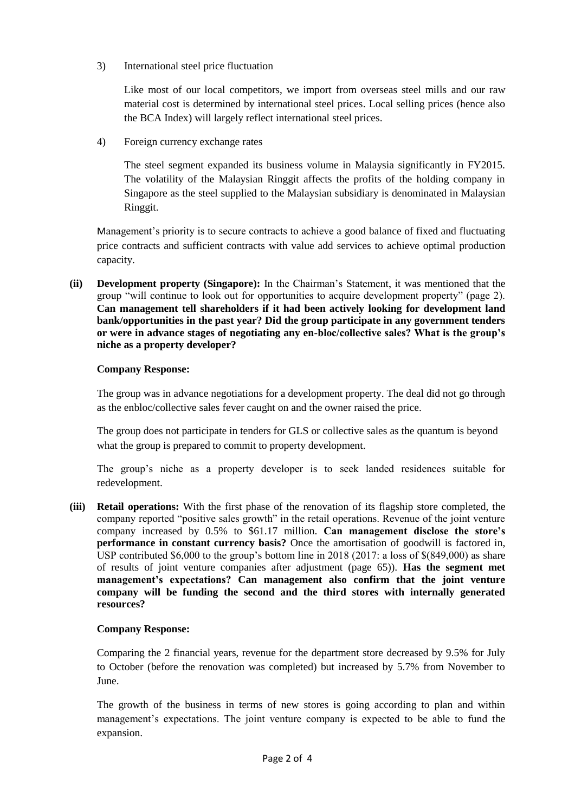3) International steel price fluctuation

Like most of our local competitors, we import from overseas steel mills and our raw material cost is determined by international steel prices. Local selling prices (hence also the BCA Index) will largely reflect international steel prices.

4) Foreign currency exchange rates

The steel segment expanded its business volume in Malaysia significantly in FY2015. The volatility of the Malaysian Ringgit affects the profits of the holding company in Singapore as the steel supplied to the Malaysian subsidiary is denominated in Malaysian Ringgit.

Management's priority is to secure contracts to achieve a good balance of fixed and fluctuating price contracts and sufficient contracts with value add services to achieve optimal production capacity.

**(ii) Development property (Singapore):** In the Chairman's Statement, it was mentioned that the group "will continue to look out for opportunities to acquire development property" (page 2). **Can management tell shareholders if it had been actively looking for development land bank/opportunities in the past year? Did the group participate in any government tenders or were in advance stages of negotiating any en-bloc/collective sales? What is the group's niche as a property developer?**

# **Company Response:**

The group was in advance negotiations for a development property. The deal did not go through as the enbloc/collective sales fever caught on and the owner raised the price.

The group does not participate in tenders for GLS or collective sales as the quantum is beyond what the group is prepared to commit to property development.

The group's niche as a property developer is to seek landed residences suitable for redevelopment.

**(iii) Retail operations:** With the first phase of the renovation of its flagship store completed, the company reported "positive sales growth" in the retail operations. Revenue of the joint venture company increased by 0.5% to \$61.17 million. **Can management disclose the store's performance in constant currency basis?** Once the amortisation of goodwill is factored in, USP contributed \$6,000 to the group's bottom line in 2018 (2017: a loss of \$(849,000) as share of results of joint venture companies after adjustment (page 65)). **Has the segment met management's expectations? Can management also confirm that the joint venture company will be funding the second and the third stores with internally generated resources?** 

# **Company Response:**

Comparing the 2 financial years, revenue for the department store decreased by 9.5% for July to October (before the renovation was completed) but increased by 5.7% from November to June.

The growth of the business in terms of new stores is going according to plan and within management's expectations. The joint venture company is expected to be able to fund the expansion.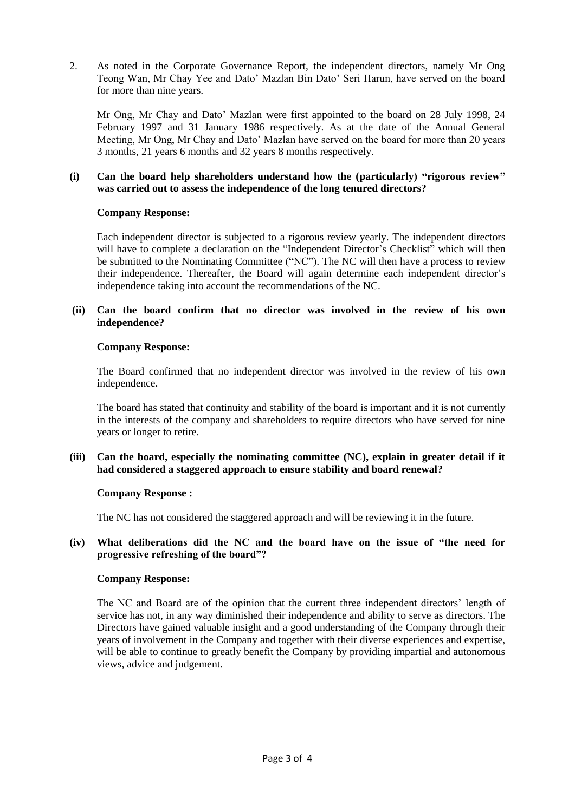2. As noted in the Corporate Governance Report, the independent directors, namely Mr Ong Teong Wan, Mr Chay Yee and Dato' Mazlan Bin Dato' Seri Harun, have served on the board for more than nine years.

Mr Ong, Mr Chay and Dato' Mazlan were first appointed to the board on 28 July 1998, 24 February 1997 and 31 January 1986 respectively. As at the date of the Annual General Meeting, Mr Ong, Mr Chay and Dato' Mazlan have served on the board for more than 20 years 3 months, 21 years 6 months and 32 years 8 months respectively.

#### **(i) Can the board help shareholders understand how the (particularly) "rigorous review" was carried out to assess the independence of the long tenured directors?**

## **Company Response:**

Each independent director is subjected to a rigorous review yearly. The independent directors will have to complete a declaration on the "Independent Director's Checklist" which will then be submitted to the Nominating Committee ("NC"). The NC will then have a process to review their independence. Thereafter, the Board will again determine each independent director's independence taking into account the recommendations of the NC.

## **(ii) Can the board confirm that no director was involved in the review of his own independence?**

## **Company Response:**

The Board confirmed that no independent director was involved in the review of his own independence.

The board has stated that continuity and stability of the board is important and it is not currently in the interests of the company and shareholders to require directors who have served for nine years or longer to retire.

## **(iii) Can the board, especially the nominating committee (NC), explain in greater detail if it had considered a staggered approach to ensure stability and board renewal?**

#### **Company Response :**

The NC has not considered the staggered approach and will be reviewing it in the future.

## **(iv) What deliberations did the NC and the board have on the issue of "the need for progressive refreshing of the board"?**

#### **Company Response:**

The NC and Board are of the opinion that the current three independent directors' length of service has not, in any way diminished their independence and ability to serve as directors. The Directors have gained valuable insight and a good understanding of the Company through their years of involvement in the Company and together with their diverse experiences and expertise, will be able to continue to greatly benefit the Company by providing impartial and autonomous views, advice and judgement.